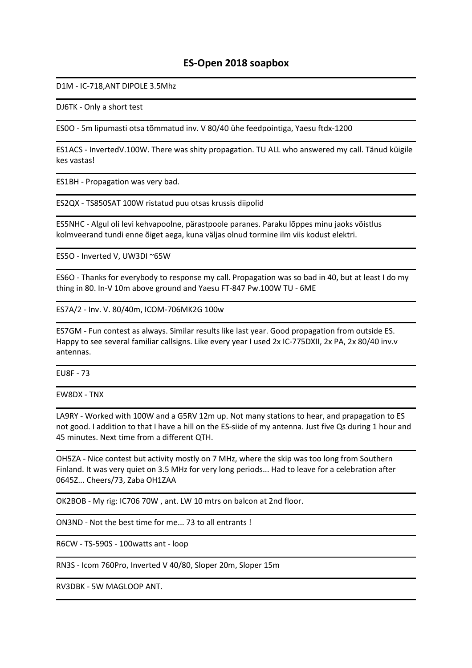## ES-Open 2018 soapbox

D1M - IC-718,ANT DIPOLE 3.5Mhz

DJ6TK - Only a short test

ES0O - 5m lipumasti otsa tõmmatud inv. V 80/40 ühe feedpointiga, Yaesu ftdx-1200

ES1ACS - InvertedV.100W. There was shity propagation. TU ALL who answered my call. Tänud küigile kes vastas!

ES1BH - Propagation was very bad.

ES2QX - TS850SAT 100W ristatud puu otsas krussis diipolid

ES5NHC - Algul oli levi kehvapoolne, pärastpoole paranes. Paraku lõppes minu jaoks võistlus kolmveerand tundi enne õiget aega, kuna väljas olnud tormine ilm viis kodust elektri.

ES5O - Inverted V, UW3DI ~65W

ES6O - Thanks for everybody to response my call. Propagation was so bad in 40, but at least I do my thing in 80. In-V 10m above ground and Yaesu FT-847 Pw.100W TU - 6ME

ES7A/2 - Inv. V. 80/40m, ICOM-706MK2G 100w

ES7GM - Fun contest as always. Similar results like last year. Good propagation from outside ES. Happy to see several familiar callsigns. Like every year I used 2x IC-775DXII, 2x PA, 2x 80/40 inv.v antennas.

EU8F - 73

EW8DX - TNX

LA9RY - Worked with 100W and a G5RV 12m up. Not many stations to hear, and prapagation to ES not good. I addition to that I have a hill on the ES-siide of my antenna. Just five Qs during 1 hour and 45 minutes. Next time from a different QTH.

OH5ZA - Nice contest but activity mostly on 7 MHz, where the skip was too long from Southern Finland. It was very quiet on 3.5 MHz for very long periods... Had to leave for a celebration after 0645Z... Cheers/73, Zaba OH1ZAA

OK2BOB - My rig: IC706 70W , ant. LW 10 mtrs on balcon at 2nd floor.

ON3ND - Not the best time for me... 73 to all entrants !

R6CW - TS-590S - 100watts ant - loop

RN3S - Icom 760Pro, Inverted V 40/80, Sloper 20m, Sloper 15m

RV3DBK - 5W MAGLOOP ANT.